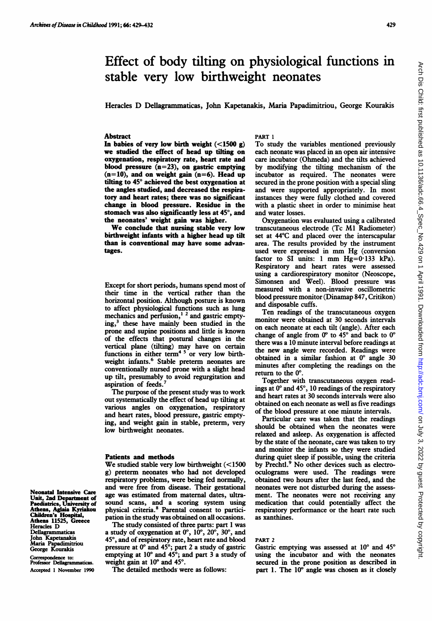Heracles D Dellagrammaticas, John Kapetanakis, Maria Papadimitriou, George Kourakis

# **Abstract**

In babies of very low birth weight  $(<1500 g)$ we studied the effect of head up tilting on oxygenation, respiratory rate, heart rate and blood pressure  $(n=23)$ , on gastric emptying  $(n=10)$ , and on weight gain  $(n=6)$ . Head up tilting to  $45^\circ$  achieved the best oxygenation at the angles studied, and decreased the respiratory and heart rates; there was no significant change in blood pressure. Residue in the stomach was also significantly less at  $45^{\circ}$ , and the neonates' weight gain was higher.

We conclude that nursing stable very low birthweight infants with a higher head up tilt than is conventional may have some advantages.

Except for short periods, humans spend most of their time in the vertical rather than the horizontal position. Although posture is known to affect physiological functions such as lung mechanics and perfusion,<sup>1</sup> <sup>2</sup> and gastric emptying,3 these have mainly been studied in the prone and supine positions and little is known of the effects that postural changes in the vertical plane (tilting) may have on certain functions in either term<sup>45</sup> or very low birthweight infants.<sup>6</sup> Stable preterm neonates are conventionally nursed prone with a slight head up tilt, presumably to avoid regurgitation and aspiration of feeds.7

The purpose of the present study was to work out systematically the effect of head up tilting at various angles on oxygenation, respiratory and heart rates, blood pressure, gastric emptying, and weight gain in stable, preterm, very low birthweight neonates.

## Patients and methods

We studied stable very low birthweight (<1500 g) preterm neonates who had not developed respiratory problems, were being fed normally, and were free from disease. Their gestational age was estimated from maternal dates, ultrasound scans, and a scoring system using physical criteria.8 Parental consent to participation in the study was obtained on all occasions.

The study consisted of three parts: part <sup>1</sup> was a study of oxygenation at  $0^\circ$ ,  $10^\circ$ ,  $20^\circ$ ,  $30^\circ$ , and 45°, and of respiratory rate, heart rate and blood pressure at  $0^{\circ}$  and 45 $^{\circ}$ ; part 2 a study of gastric emptying at  $10^{\circ}$  and  $45^{\circ}$ ; and part 3 a study of weight gain at  $10^{\circ}$  and  $45^{\circ}$ .

The detailed methods were as follows:

# PART <sup>1</sup>

To study the variables mentioned previously each neonate was placed in an open air intensive care incubator (Ohmeda) and the tilts achieved by modifying the tilting mechanism of the incubator as required. The neonates were secured in the prone position with a special sling and were supported appropriately. In most instances they were fully clothed and covered with a plastic sheet in order to minimise heat and water losses.

Oxygenation was evaluated using a calibrated transcutaneous electrode (Tc Ml Radiometer) set at 44°C and placed over the interscapular area. The results provided by the instrument used were expressed in mm Hg (conversion factor to SI units: 1 mm  $Hg=0.133$  kPa). Respiratory and heart rates were assessed using a cardiorespiratory monitor (Neoscope, Simonsen and Weel). Blood pressure was measured with a non-invasive oscillometric blood pressure monitor (Dinamap 847, Critikon) and disposable cuffs.

Ten readings of the transcutaneous oxygen monitor were obtained at 30 seconds intervals on each neonate at each tilt (angle). After each change of angle from  $0^{\circ}$  to 45° and back to  $0^{\circ}$ there was a 10 minute interval before readings at the new angle were recorded. Readings were obtained in a similar fashion at  $0^{\circ}$  angle 30 minutes after completing the readings on the return to the  $0^\circ$ .

Together with transcutaneous oxygen readings at 0° and 45°, 10 readings of the respiratory and heart rates at 30 seconds intervals were also obtained on each neonate as well as five readings of the blood pressure at one minute intervals.

Particular care was taken that the readings should be obtained when the neonates were relaxed and asleep. As oxygenation is affected by the state of the neonate, care was taken to try and monitor the infants so they were studied during quiet sleep if possible, using the criteria by Prechtl.<sup>9</sup> No other devices such as electrooculograms were used. The readings were obtained two hours after the last feed, and the neonates were not disturbed during the assessment. The neonates were not receiving any medication that could potentially affect the respiratory performance or the heart rate such as xanthines.

#### PART <sup>2</sup>

Gastric emptying was assessed at  $10^{\circ}$  and  $45^{\circ}$ using the incubator and with the neonates secured in the prone position as described in part 1. The  $10^{\circ}$  angle was chosen as it closely

Neonatal Intensive Care Unit, 2nd Department of<br>Paediatrics, University of Athens, Aglaia Kyriakou<br>Children's Hospital,<br>Athens 11525, Greece Heracles D Delagrammaticas John Kapetanakis Maria Papadimitriou<br>George Kourakis

Correspondence to:<br>Professor Dellagrammaticas. Accepted <sup>1</sup> November 1990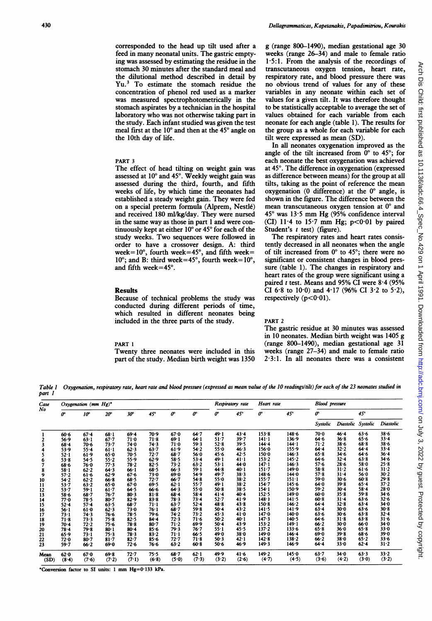corresponded to the head up tilt used after <sup>a</sup> feed in many neonatal units. The gastric emptying was assessed by estimating the residue in the stomach 30 minutes after the standard meal and the dilutional method described in detail by Yu.3 To estimate the stomach residue the concentration of phenol red used as a marker was measured spectrophotometrically in the stomach aspirates by a technician in the hospital laboratory who was not otherwise taking part in the study. Each infant studied was given the test meal first at the  $10^{\circ}$  and then at the  $45^{\circ}$  angle on the 10th day of life.

#### PART <sup>3</sup>

The effect of head tilting on weight gain was assessed at 10° and 45°. Weekly weight gain was assessed during the third, fourth, and fifth weeks of life, by which time the neonates had established a steady weight gain. They were fed on a special preterm formula (Alprem, Nestle) and received 180 ml/kg/day. They were nursed in the same way as those in part <sup>1</sup> and were continuously kept at either 10° or 45° for each of the study weeks. Two sequences were followed in order to have a crossover design. A: third week=10 $^{\circ}$ , fourth week=45 $^{\circ}$ , and fifth week=  $10^{\circ}$ ; and B: third week=45 $^{\circ}$ , fourth week= $10^{\circ}$ , and fifth week=45°.

## **Results**

Because of technical problems the study was conducted during different periods of time, which resulted in different neonates being included in the three parts of the study.

#### PART <sup>1</sup>

Twenty three neonates were included in this part of the study. Median birth weight was 1350 g (range 800-1490), median gestational age 30 weeks (range 26-34) and male to female ratio 1-5:1. From the analysis of the recordings of transcutaneous oxygen tension, heart rate, respiratory rate, and blood pressure there was no obvious trend of values for any of these variables in any neonate within each set of values for a given tilt. It was therefore thought to be statistically acceptable to average the set of values obtained for each variable from each neonate for each angle (table 1). The results for the group as a whole for each variable for each tilt were expressed as mean (SD).

In all neonates oxygenation improved as the angle of the tilt increased from  $0^{\circ}$  to 45°; for each neonate the best oxygenation was achieved at 45°. The difference in oxygenation (expressed as difference between means) for the group at all tilts, taking as the point of reference the mean oxygenation (0 difference) at the  $0^{\circ}$  angle, is shown in the figure. The difference between the mean transcutaneous oxygen tension at  $0^{\circ}$  and  $45^{\circ}$  was 13.5 mm Hg (95% confidence interval (CI)  $11·4$  to  $15·7$  mm Hg;  $p<0·01$  by paired Student's  $t$  test) (figure).

The respiratory rates and heart rates consistently decreased in all neonates when the angle of tilt increased from  $0^{\circ}$  to 45°; there were no significant or consistent changes in blood pressure (table 1). The changes in respiratory and heart rates of the group were significant using a paired t test. Means and 95% CI were 8.4 (95% CI 6.8 to 10.0) and 4.17 (96% CI 3.2 to 5.2), respectively  $(p<0.01)$ .

## PART <sup>2</sup>

The gastric residue at 30 minutes was assessed in 10 neonates. Median birth weight was 1405 g (range 800-1490), median gestational age 31 weeks (range 27-34) and male to female ratio  $2.3:1$ . In all neonates there was a consistent

Table I part I Oxygenation, respiratory rate, heart rate and blood pressure (expressed as mean value of the 10 readingsltilt) for each of the 23 neonates studied in

| Case<br>No   | Oxygenation (mm $Hg$ )* |               |               |                   |               |                   |                   | Respiratory rate |               | Heart rate     |                | <b>Blood</b> pressure |                    |               |                   |
|--------------|-------------------------|---------------|---------------|-------------------|---------------|-------------------|-------------------|------------------|---------------|----------------|----------------|-----------------------|--------------------|---------------|-------------------|
|              | œ                       | $10^{\circ}$  | $20^{\circ}$  | $30^{\circ}$      | $45^\circ$    | o                 | o                 | o                | $45^\circ$    | œ              | $45^\circ$     | o                     |                    | $45^\circ$    |                   |
|              |                         |               |               |                   |               |                   |                   |                  |               |                |                | Systolic              | Diastolic Systolic |               | Diastolic         |
|              | 60.6                    | 67.4          | $68 - 1$      | 69.4              | 70∙9          | 67.0              | 64.7              | 49.1             | 43.4          | 153.8          | 148.6          | $70-0$                | 46.4               | 63.6          | 38.6              |
| 2            | 56.9                    | 63.1          | 67.7          | $71 - 0$          | 71.8          | 69.1              | 64.1              | 51.7             | $39 - 7$      | $141-1$        | 136.9          | 64.6                  | 36.8               | 65.6          | $33 - 4$          |
| 3            | 68.4                    | 70.6          | 73.7          | 74.0              | 74.3          | 71.0              | 59.3              | 52.8             | 39.5          | $144 - 4$      | 144.1          | $71 - 2$              | 38.6               | 68.8          | 38.6              |
|              | 53.9                    | $55 - 4$      | $61-1$        | 62.3              | $63 - 7$      | 61.9              | 54.2              | 55.0             | 46.3          | 156.0          | 155.9          | 64.4                  | 32.2               | 64.4          | 33.4              |
| 5            | $52 - 1$                | 61.9          | 65.0          | 70.5              | 72.7          | $68 - 7$          | 56.0              | 45.6             | 42.5          | 150.0          | 146∙3          | 65.8                  | 34.6               | 64.6          | 36.4              |
| 6            | 53.8                    | 54.5          | 55.2          | 55.9              | 62.9          | 58.5              | $53 - 4$          | 49.1             | 41.1          | $153 - 2$      | 145.2          | 64.6                  | 32.4               | 63.8          | 34.6              |
| 7            | 68.6                    | 76∙0          | 77.3          | 78.2              | $82 - 5$      | $73 - 2$          | 63.2              | $53 - 1$         | 44.0          | $147 - 1$      | 146.3          | $57 - 6$              | 28.6               | 58.0          | 25.8              |
| 8            | 58.1                    | $62 - 2$      | 64.3          | $66 - 1$          | 68.5          | 66.3              | $59 - 1$          | 44.8             | 40.1          | $151 - 7$      | 149.0          | 58.8                  | $31 - 2$           | 61.6          | $31 - 2$          |
| 9            | $57 - 2$                | 61.6          | 62.9          | 67.6              | 73.0          | 69.0              | 54.9              | 49.7             | 38.3          | 148.6          | 144.0          | 57.8                  | $31 - 4$           | 56.0          | 30.2              |
| 10           | 54.2                    | $62 - 2$      | 66.8          | 68.5              | $72 - 7$      | $66 - 7$          | 54.8              | 55.0             | 38.2          | $155 - 7$      | $151-1$        | 59.0                  | 30.6               | 60.8          | 29.8              |
| 11           | 53.7                    | $63 - 2$      | 65.0          | 67.0              | 69.5          | 62.1              | $55 - 7$          | $49 - 1$         | 38.2          | 154.7          | 145.6          | 64.0                  | 39.8               | $65 - 4$      | $37 - 2$          |
| 12           | 53.7                    | $59 - 1$      | $61 - 7$      | 64.5              | 66.6          | 64.3              | 55.0              | 50.8             | 38.5          | 154.1          | 150.9          | 59.2                  | 30.4               | $58 - 4$      | 28.0              |
| 13           | $58 - 6$                | 68.7          | 76-7          | 80.3              | 81.8          | $68 - 4$          | $58 - 4$          | 41.4             | 40.4          | 152.5          | 149.0          | 60.0                  | $35 - 8$           | 59.8          | 34.6              |
| 14           | 77.0                    | 78.5          | $80 - 7$      | 82.9              | $83 - 8$      | 78.3              | 73.4              | 52.7             | 41.9          | 148·1          | 141.5          | 60.8                  | $31 - 4$           | 63.6          | 32.6              |
| 15           | $52 - 4$                | $57 - 4$      | 63.5          | $68 - 7$          | $71 - 1$      | $63 - 7$          | $52 - 4$          | 48.8             | 43.8          | 150.8          | 146.2          | 64.4                  | $32 - 8$           | $63 - 4$      | 34.0              |
| 16           | 56∙1                    | $61 - 0$      | $62 - 3$      | 73.0              | 76.1          | $68 - 7$          | 59.8              | 50.4             | 43.2          | 141.5          | 141.9          | 63.4                  | 30.0               | 63.6          | 30.8              |
| 17           | 73.1                    | 74.3          | 76.6          | 78.5              | 79∙6          | 74.2              | 73.2              | 45.3             | 41.0          | 147.0          | 140.0          | 63.6                  | 30.6               | 63.8          | 32.4              |
| 18           | $71 - 8$                | 73.3          | $75 - 8$      | 82.5              | $84 - 4$      | 72.3              | 71.6              | 50.2             | 40.1          | 147.3          | 140-5          | 64.6                  | $31 - 8$           | 63.8          | $31 - 6$          |
| 19           | $70 - 4$                | 72.2          | 75.6          | 78.8              | $80 - 7$      | 71.2              | 69.9              | $50 - 4$         | 43.9          | $153 - 2$      | 149.1          | 66.2                  | $30 - 0$           | 66.0          | 34.0              |
| 20           | $78 - 4$                | 79.8          | 80.1          | $80 - 4$          | $85 - 6$      | 79.3              | 76.7              | 55.1             | 45.5          | $137 - 2$      | 133.6          | 65.8                  | 36.0               | 65.8          | 33.0              |
| 21           | 65.9                    | $73 - 1$      | $75 - 3$      | 78.3              | 83.2          | $71 - 1$          | 66.5              | 49∙0             | $38 - 0$      | 149.0          | 146.4          | 69.0                  | 39.8               | 68.6          | 39.0              |
| 22           | 72.0                    | $80-7$        | $81 - 7$      | $82 - 7$          | 85.6          | 72.7              | $71 - 8$          | 50.3             | 42.1          | 142.8          | 138.2          | 66.2                  | $38 - 0$           | 65.2          | 33.6              |
| 23           | 59.7                    | 66.2          | 69.0          | 72.6              | 76.6          | 63.2              | 60.8              | $50 - 6$         | 46.9          | 149.3          | 146.9          | 64.4                  | 33.0               | $62 - 4$      | 31.2              |
| Mean<br>(SD) | 62.0<br>(8.4)           | 67.0<br>(7.6) | 69.8<br>(7.2) | $72 - 7$<br>(7.1) | 75.5<br>(6.8) | $68 - 7$<br>(5.0) | $62 - 1$<br>(7.3) | 49.9<br>(3.2)    | 41.6<br>(2.6) | 149.2<br>(4.7) | 145.0<br>(4.5) | 63.7<br>(3.6)         | 34.0<br>(4.2)      | 63.3<br>(3.0) | $33 - 2$<br>(3.2) |

Arch Dis Child: first published as 10.11196/adc.66.4\_Spec\_No.429 on 1 April 1991. Downloaded from http://adc.bmj.com/ on July 3, 2022 by guest. Protected by copyright Arch Dis Child: first published as 10.1136/adc.66.4\_Spec\_No.429 on 1 April 1991. Downloaded from loaded from Arch Dis Copyright. Protected by copyright.

\*Conversion factor to SI units: <sup>1</sup> mm Hg=0-133 kPa.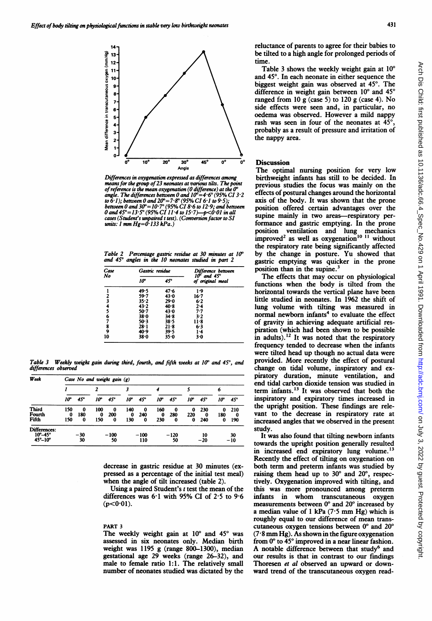

Differences in oxygenation expressed as differences among means for the group of 23 neonates at various tilts. The point<br>of reference is the mean oxygenation (0 difference) at the 0°<br>angle. The differences between 0 and  $10^{\circ} = 4 \cdot 6^{\circ}$ (95% CI 6'1 to 9'5);<br>to 6'1); between 0 units:  $l$  mm  $Hg=0.133$  kPa.)

Table 2 Percentage gastric residue at 30 minutes at 10° and 45' angles in the 10 neonates studied in part 2

| Case<br>No | Gastric residue |          | Difference between<br>$10^{\circ}$ and $45^{\circ}$<br>of original meal |  |  |  |  |
|------------|-----------------|----------|-------------------------------------------------------------------------|--|--|--|--|
|            | 10°             | 45°      |                                                                         |  |  |  |  |
|            | 49.5            | 47.6     | 1.9                                                                     |  |  |  |  |
|            | 59.7            | 43.0     | 16-7                                                                    |  |  |  |  |
| 2<br>3     | $35 - 2$        | 29.0     | 6.2                                                                     |  |  |  |  |
| 4          | 43.2            | $40-8$   | $2 - 4$                                                                 |  |  |  |  |
| Ś          | $50-7$          | 43.0     | $7 - 7$                                                                 |  |  |  |  |
| 6          | $38 - 0$        | 34.8     | 3.2                                                                     |  |  |  |  |
| 7          | 50.3            | $38 - 5$ | $11-8$                                                                  |  |  |  |  |
| 8<br>9     | $28 - 1$        | $21-8$   | 6.3                                                                     |  |  |  |  |
|            | 40.9            | 39.5     | 1.4                                                                     |  |  |  |  |
| 10         | 38∙0            | $35 - 0$ | 3∙0                                                                     |  |  |  |  |

Table 3 Weekly weight gain during third, fourth, and fifth weeks at  $10^{\circ}$  and  $45^{\circ}$ , and differences observed

| Week                                                                 | Case No and weight gain $(g)$ |               |                 |               |                 |               |                 |               |               |                 |               |              |
|----------------------------------------------------------------------|-------------------------------|---------------|-----------------|---------------|-----------------|---------------|-----------------|---------------|---------------|-----------------|---------------|--------------|
|                                                                      |                               |               |                 |               | 3               |               |                 |               |               |                 | 6             |              |
|                                                                      | 10°                           | $45^\circ$    | 10°             | $45^\circ$    | 10°             | $45^\circ$    | 10°             | $45^\circ$    | 10°           | $45^\circ$      | 10°           | $45^{\circ}$ |
| Third<br>Fourth<br>Fifth                                             | 150<br>0<br>150               | 0<br>180<br>0 | 100<br>0<br>150 | 0<br>200<br>0 | 140<br>0<br>130 | 0<br>240<br>0 | 160<br>0<br>230 | 0<br>280<br>0 | 0<br>220<br>0 | 230<br>0<br>240 | 0<br>180<br>0 | 210<br>190   |
| Differences:<br>$10^{\circ} - 45^{\circ}$<br>$45^{\circ}-10^{\circ}$ |                               | $-30$<br>30   |                 | $-100$<br>50  |                 | $-100$<br>110 |                 | $-120$<br>50  |               | 10<br>$-20$     |               | 30<br>$-10$  |

decrease in gastric residue at 30 minutes (expressed as a percentage of the initial test meal) when the angle of tilt increased (table 2).

Using a paired Student's  $t$  test the mean of the differences was 6-1 with 95% CI of 2-5 to 9-6  $(p<0.01)$ .

#### PART <sup>3</sup>

The weekly weight gain at  $10^{\circ}$  and  $45^{\circ}$  was assessed in six neonates only. Median birth weight was 1195 g (range 800-1300), median gestational age 29 weeks (range 26-32), and male to female ratio 1:1. The relatively small number of neonates studied was dictated by the

reluctance of parents to agree for their babies to be tilted to a high angle for prolonged periods of time.

Table 3 shows the weekly weight gain at  $10^{\circ}$ and 45°. In each neonate in either sequence the biggest weight gain was observed at 45°. The difference in weight gain between 10° and 45° ranged from 10 g (case 5) to 120 g (case 4). No side effects were seen and, in particular, no oedema was observed. However a mild nappy rash was seen in four of the neonates at  $45^\circ$ , probably as a result of pressure and irritation of the nappy area.

# **Discussion**

The optimal nursing position for very low birthweight infants has still to be decided. In previous studies the focus was mainly on the effects of postural changes around the horizontal axis of the body. It was shown that the prone position offered certain advantages over the supine mainly in two areas-respiratory performance and gastric emptying. In the prone position ventilation and lung mechanics improved<sup>2</sup> as well as oxygenation<sup>10</sup> <sup>11</sup> without the respiratory rate being significantly affected by the change in posture. Yu showed that gastric emptying was quicker in the prone position than in the supine.<sup>3</sup>

The effects that may occur on physiological functions when the body is tilted from the horizontal towards the vertical plane have been little studied in neonates. In 1962 the shift of lung volume with tilting was measured in normal newborn infants<sup>4</sup> to evaluate the effect of gravity in achieving adequate artificial respiration (which had been shown to be possible in adults).<sup>12</sup> It was noted that the respiratory frequency tended to decrease when the infants were tilted head up though no actual data were provided. More recently the effect of postural change on tidal volume, inspiratory and expiratory duration, minute ventilation, and end tidal carbon dioxide tension was studied in term infants.<sup>13</sup> It was observed that both the inspiratory and expiratory times increased in the upright position. These findings are relevant to the decrease in respiratory rate at increased angles that we observed in the present study.

It was also found that tilting newborn infants towards the upright position generally resulted in increased end expiratory lung volume.<sup>13</sup> Recently the effect of tilting on oxygenation on both term and preterm infants was studied by raising them head up to  $30^\circ$  and  $20^\circ$ , respectively. Oxygenation improved with tilting, and this was more pronounced among preterm infants in whom transcutaneous oxygen measurements between  $0^{\circ}$  and  $20^{\circ}$  increased by a median value of 1 kPa  $(7.5 \text{ mm Hg})$  which is roughly equal to our difference of mean transcutaneous oxygen tensions between  $0^{\circ}$  and  $20^{\circ}$  $(7.8 \text{ mm Hg})$ . As shown in the figure oxygenation from  $0^{\circ}$  to  $45^{\circ}$  improved in a near linear fashion. A notable difference between that study<sup>6</sup> and our results is that in contrast to our findings Thoresen et al observed an upward or downward trend of the transcutaneous oxygen read